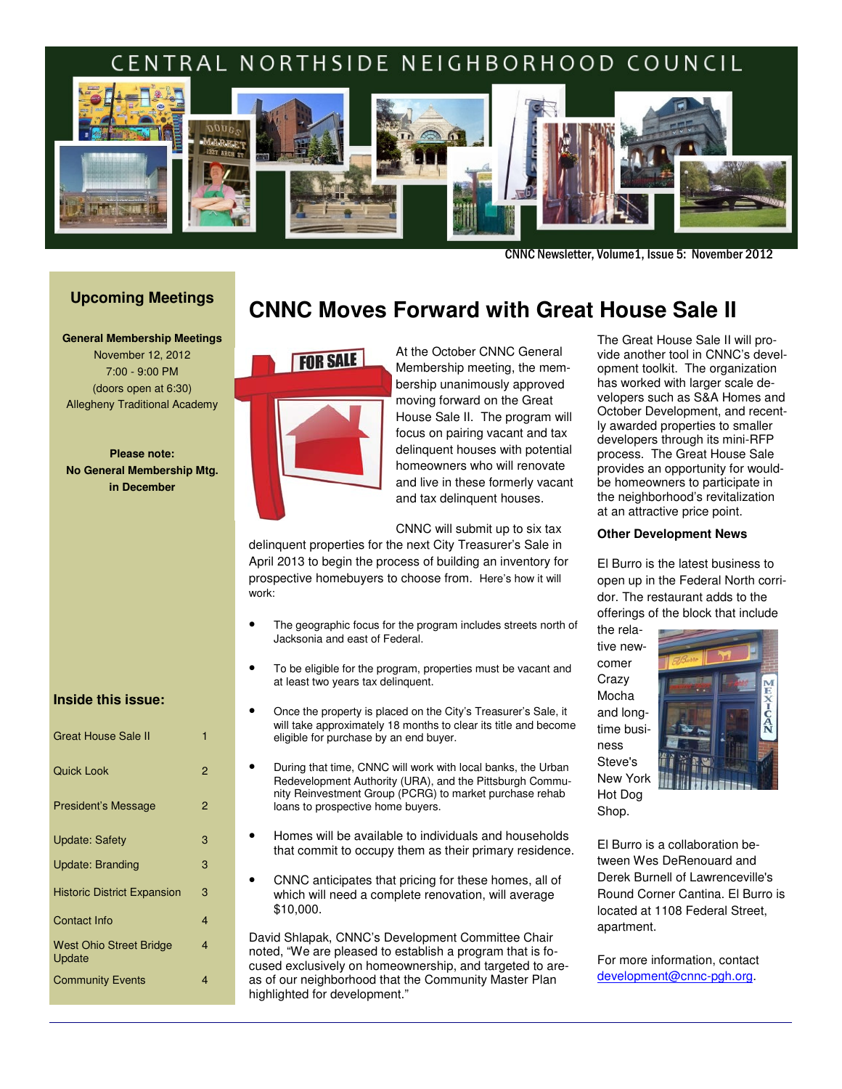#### ì TRAL NORTHSIDE NEIGHBORHOOD COUNCIL



CNNC Newsletter, Volume1, Issue 5: November 2012

## **Upcoming Meetings**

**General Membership Meetings** November 12, 2012 7:00 - 9:00 PM (doors open at 6:30) Allegheny Traditional Academy

**Please note: No General Membership Mtg. in December** 

# **CNNC Moves Forward with Great House Sale II**



At the October CNNC General Membership meeting, the membership unanimously approved moving forward on the Great House Sale II. The program will focus on pairing vacant and tax delinquent houses with potential homeowners who will renovate and live in these formerly vacant and tax delinquent houses.

CNNC will submit up to six tax

delinquent properties for the next City Treasurer's Sale in April 2013 to begin the process of building an inventory for prospective homebuyers to choose from. Here's how it will work:

- The geographic focus for the program includes streets north of Jacksonia and east of Federal.
- To be eligible for the program, properties must be vacant and at least two years tax delinquent.
- Once the property is placed on the City's Treasurer's Sale, it will take approximately 18 months to clear its title and become eligible for purchase by an end buyer.
- During that time, CNNC will work with local banks, the Urban Redevelopment Authority (URA), and the Pittsburgh Community Reinvestment Group (PCRG) to market purchase rehab loans to prospective home buyers.
- Homes will be available to individuals and households that commit to occupy them as their primary residence.
- CNNC anticipates that pricing for these homes, all of which will need a complete renovation, will average \$10,000.

David Shlapak, CNNC's Development Committee Chair noted, "We are pleased to establish a program that is focused exclusively on homeownership, and targeted to areas of our neighborhood that the Community Master Plan highlighted for development."

The Great House Sale II will provide another tool in CNNC's development toolkit. The organization has worked with larger scale developers such as S&A Homes and October Development, and recently awarded properties to smaller developers through its mini-RFP process. The Great House Sale provides an opportunity for wouldbe homeowners to participate in the neighborhood's revitalization at an attractive price point.

#### **Other Development News**

El Burro is the latest business to open up in the Federal North corridor. The restaurant adds to the offerings of the block that include

the relative newcomer **Crazy** Mocha and longtime business Steve's New York Hot Dog Shop.



El Burro is a collaboration between Wes DeRenouard and Derek Burnell of Lawrenceville's Round Corner Cantina. El Burro is located at 1108 Federal Street, apartment.

For more information, contact development@cnnc-pgh.org.

#### **Inside this issue:**

| Great House Sale II                      |   |
|------------------------------------------|---|
| <b>Quick Look</b>                        | 2 |
| <b>President's Message</b>               | 2 |
| <b>Update: Safety</b>                    | 3 |
| Update: Branding                         | 3 |
| <b>Historic District Expansion</b>       | 3 |
| Contact Info                             | 4 |
| <b>West Ohio Street Bridge</b><br>Update | 4 |
| <b>Community Events</b>                  | 4 |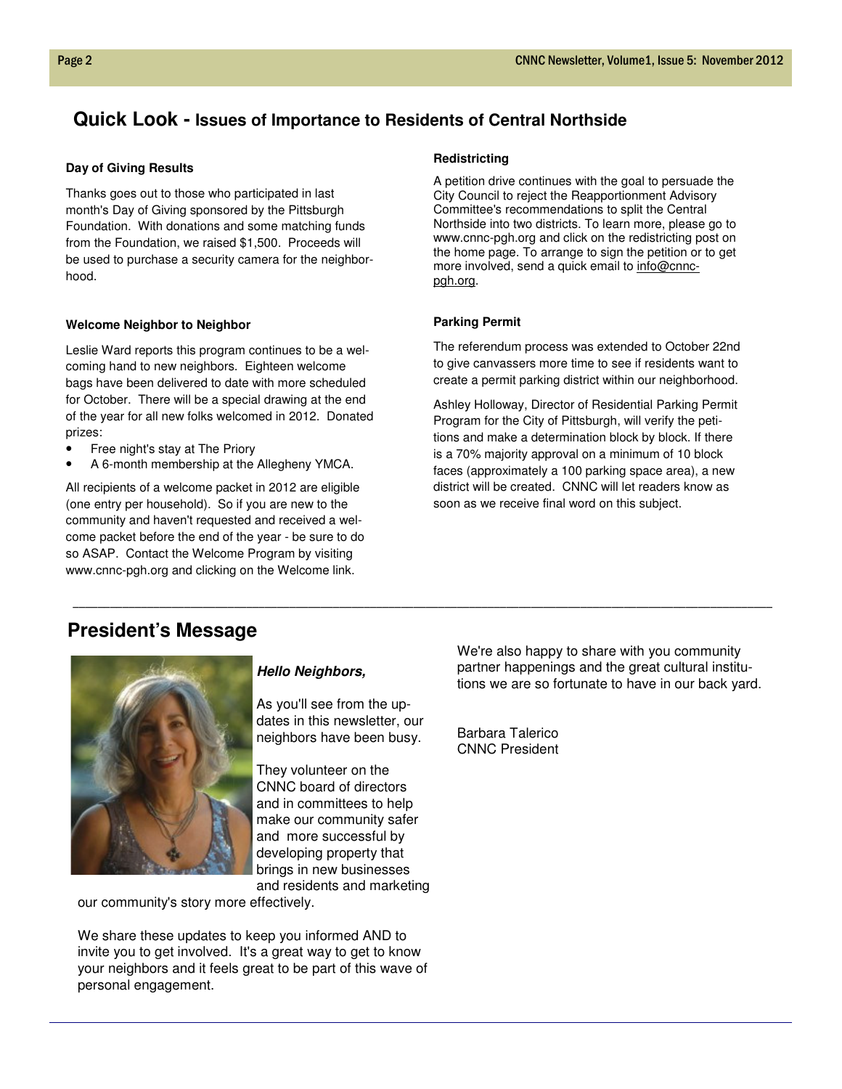## **Quick Look - Issues of Importance to Residents of Central Northside**

#### **Day of Giving Results**

Thanks goes out to those who participated in last month's Day of Giving sponsored by the Pittsburgh Foundation. With donations and some matching funds from the Foundation, we raised \$1,500. Proceeds will be used to purchase a security camera for the neighborhood.

#### **Welcome Neighbor to Neighbor**

Leslie Ward reports this program continues to be a welcoming hand to new neighbors. Eighteen welcome bags have been delivered to date with more scheduled for October. There will be a special drawing at the end of the year for all new folks welcomed in 2012. Donated prizes:

- Free night's stay at The Priory
- A 6-month membership at the Allegheny YMCA.

All recipients of a welcome packet in 2012 are eligible (one entry per household). So if you are new to the community and haven't requested and received a welcome packet before the end of the year - be sure to do so ASAP. Contact the Welcome Program by visiting www.cnnc-pgh.org and clicking on the Welcome link.

#### **Redistricting**

A petition drive continues with the goal to persuade the City Council to reject the Reapportionment Advisory Committee's recommendations to split the Central Northside into two districts. To learn more, please go to www.cnnc-pgh.org and click on the redistricting post on the home page. To arrange to sign the petition or to get more involved, send a quick email to info@cnncpgh.org.

## **Parking Permit**

The referendum process was extended to October 22nd to give canvassers more time to see if residents want to create a permit parking district within our neighborhood.

Ashley Holloway, Director of Residential Parking Permit Program for the City of Pittsburgh, will verify the petitions and make a determination block by block. If there is a 70% majority approval on a minimum of 10 block faces (approximately a 100 parking space area), a new district will be created. CNNC will let readers know as soon as we receive final word on this subject.

# **President's Message**



#### **Hello Neighbors,**

As you'll see from the updates in this newsletter, our neighbors have been busy.

\_\_\_\_\_\_\_\_\_\_\_\_\_\_\_\_\_\_\_\_\_\_\_\_\_\_\_\_\_\_\_\_\_\_\_\_\_\_\_\_\_\_\_\_\_\_\_\_\_\_\_\_\_\_\_\_\_\_\_\_\_\_\_\_\_\_\_\_\_\_\_\_\_\_\_\_\_\_\_\_\_\_\_\_\_\_\_\_\_\_\_\_\_\_\_\_\_\_\_\_\_\_\_\_\_\_\_\_\_\_\_\_\_

They volunteer on the CNNC board of directors and in committees to help make our community safer and more successful by developing property that brings in new businesses and residents and marketing

our community's story more effectively.

We share these updates to keep you informed AND to invite you to get involved. It's a great way to get to know your neighbors and it feels great to be part of this wave of personal engagement.

We're also happy to share with you community partner happenings and the great cultural institutions we are so fortunate to have in our back yard.

Barbara Talerico CNNC President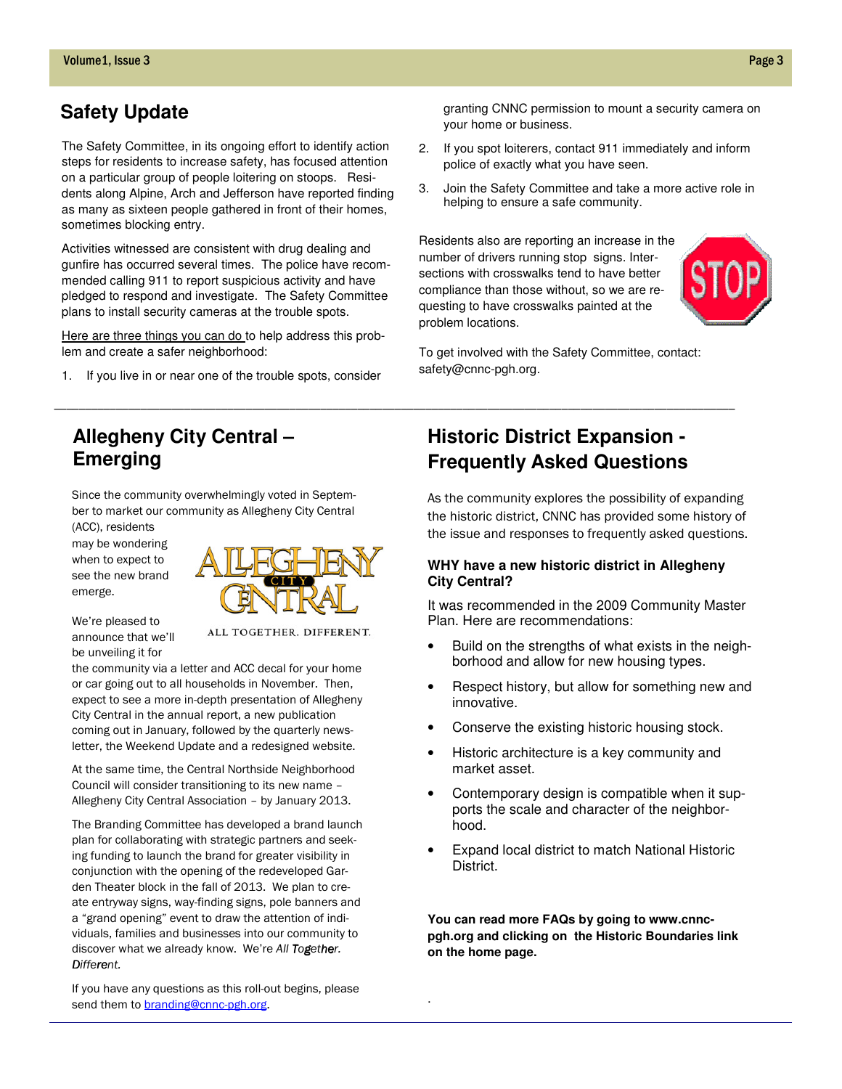# **Safety Update**

The Safety Committee, in its ongoing effort to identify action steps for residents to increase safety, has focused attention on a particular group of people loitering on stoops. Residents along Alpine, Arch and Jefferson have reported finding as many as sixteen people gathered in front of their homes, sometimes blocking entry.

Activities witnessed are consistent with drug dealing and gunfire has occurred several times. The police have recommended calling 911 to report suspicious activity and have pledged to respond and investigate. The Safety Committee plans to install security cameras at the trouble spots.

Here are three things you can do to help address this problem and create a safer neighborhood:

1. If you live in or near one of the trouble spots, consider

# **Allegheny City Central – Emerging**

Since the community overwhelmingly voted in September to market our community as Allegheny City Central (ACC), residents

may be wondering when to expect to see the new brand emerge.

We're pleased to announce that we'll be unveiling it for

ALL TOGETHER. DIFFERENT.

the community via a letter and ACC decal for your home or car going out to all households in November. Then, expect to see a more in-depth presentation of Allegheny City Central in the annual report, a new publication coming out in January, followed by the quarterly newsletter, the Weekend Update and a redesigned website.

At the same time, the Central Northside Neighborhood Council will consider transitioning to its new name – Allegheny City Central Association – by January 2013.

The Branding Committee has developed a brand launch plan for collaborating with strategic partners and seeking funding to launch the brand for greater visibility in conjunction with the opening of the redeveloped Garden Theater block in the fall of 2013. We plan to create entryway signs, way-finding signs, pole banners and a "grand opening" event to draw the attention of individuals, families and businesses into our community to discover what we already know. We're All Together. Different.

If you have any questions as this roll-out begins, please send them to **branding@cnnc-pgh.org**.

granting CNNC permission to mount a security camera on your home or business.

- 2. If you spot loiterers, contact 911 immediately and inform police of exactly what you have seen.
- 3. Join the Safety Committee and take a more active role in helping to ensure a safe community.

Residents also are reporting an increase in the number of drivers running stop signs. Intersections with crosswalks tend to have better compliance than those without, so we are requesting to have crosswalks painted at the problem locations.



To get involved with the Safety Committee, contact: safety@cnnc-pgh.org.

# **Historic District Expansion - Frequently Asked Questions**

As the community explores the possibility of expanding the historic district, CNNC has provided some history of the issue and responses to frequently asked questions.

## **WHY have a new historic district in Allegheny City Central?**

It was recommended in the 2009 Community Master Plan. Here are recommendations:

- Build on the strengths of what exists in the neighborhood and allow for new housing types.
- Respect history, but allow for something new and innovative.
- Conserve the existing historic housing stock.
- Historic architecture is a key community and market asset.
- Contemporary design is compatible when it supports the scale and character of the neighborhood.
- Expand local district to match National Historic **District.**

**You can read more FAQs by going to www.cnncpgh.org and clicking on the Historic Boundaries link on the home page.** 



\_\_\_\_\_\_\_\_\_\_\_\_\_\_\_\_\_\_\_\_\_\_\_\_\_\_\_\_\_\_\_\_\_\_\_\_\_\_\_\_\_\_\_\_\_\_\_\_\_\_\_\_\_\_\_\_\_\_\_\_\_\_\_\_\_\_\_\_\_\_\_\_\_\_\_\_\_\_\_\_\_\_\_\_\_\_\_\_\_\_\_\_\_\_\_\_\_\_\_\_\_\_\_\_\_\_\_\_\_\_

.